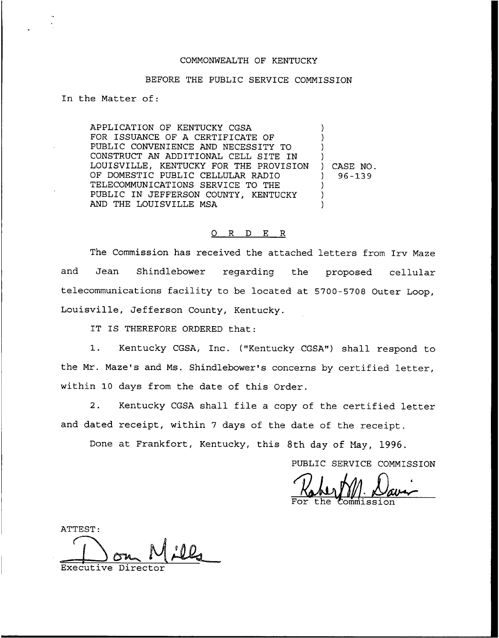## COMMONNEALTH OF KENTUCKY

## BEFORE THE PUBLIC SERVICE COMMISSION

In the Matter of:

APPLICATION OF KENTUCKY CGSA FOR ISSUANCE OF A CERTIFICATE OF PUBLIC CONVENIENCE AND NECESSITY TO CONSTRUCT AN ADDITIONAL CELL SITE IN LOUISVILLE, KENTUCKY FOR THE PROVISION OF DOMESTIC PUBLIC CELLULAR RADIO TELECOMMUNICATIONS SERVICE TO THE PUBLIC IN JEFFERSON COUNTY, KENTUCKY AND THE LOUISVILLE MSA ) ) ) ) ) CASE NO. ) 96-139 ) ) )

## O R D E R

The Commission has received the attached letters from Irv Maze and Jean Shindlebower regarding the proposed cellular telecommunications facility to be located at 5700-5708 Outer Loop, Louisville, Jefferson County, Kentucky.

IT IS THEREFORE ORDERED that:

1. Kentucky CGSA, Inc. ("Kentucky CGSA") shall respond to the Mr. Maze's and Ms. Shindlebower's concerns by certified letter, within 10 days from the date of this Order.

2. Kentucky CGSA shall file a copy of the certified letter and dated receipt, within <sup>7</sup> days of the date of the receipt.

Done at Frankfort, Kentucky, this 8th day of Nay, 1996.

PUBLIC SERVICE COMMISSION

For the Commissio

ATTEST: Executive Direc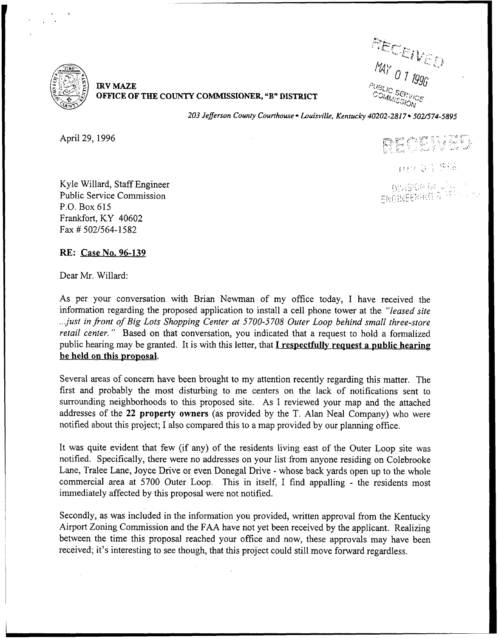

IRV MAZE OFFICE OF THE COUNTY COMMISSIONER, "B" DISTRICT

nay <sub>0 1</sub>  $t$ i $\chi$ 

203 Jefferson County Courthouse · Louisville, Kentucky 40202-2817 · 502/574-5895

April 29, 1996

PECTIVAL

1672 FOR MAIL

Kyle Willard, Staff Engineer Public Service Commission P.O. Box 615 Frankfort, KY 40602  $Fax \# 502/564 - 1582$ 

RK: Case No. 96-139

Dear Mr. Willard:

As per your conversation with Brian Newman of my office today, I have received the information regarding the proposed application to install a cell phone tower at the "leased site ...just in front of Big Lots Shopping Center at 5700-5708 Outer Loop behind small three-store retail center." Based on that conversation, you indicated that a request to hold a formalized public hearing may be granted. It is with this letter, that  $I$  respectfully request a public hearing be held on this proposal.

Several areas of concern have been brought to my attention recently regarding this matter. The first and probably the most disturbing to me centers on the lack of notifications sent to surrounding neighborhoods to this proposed site. As I reviewed your map and the attached addresses of the 22 property owners (as provided by the T. Alan Neal Company) who were notified about this project; I also compared this to a map provided by our planning office.

It was quite evident that few (if any) of the residents living east of the Outer Loop site was notified. Specifically, there were no addresses on your list from anyone residing on Colebrooke Lane, Tralee Lane, Joyce Drive or even Donegal Drive - whose back yards open up to the whole commercial area at 5700 Outer Loop. This in itself, I find appalling - the residents most immediately affected by this proposal were not notified.

Secondly, as was included in the information you provided, written approval from the Kentucky Airport Zoning Commission and the FAA have not yet been received by the applicant. Realizing between the time this proposal reached your office and now, these approvals may have been received; it's interesting to see though, that this project could still move forward regardless.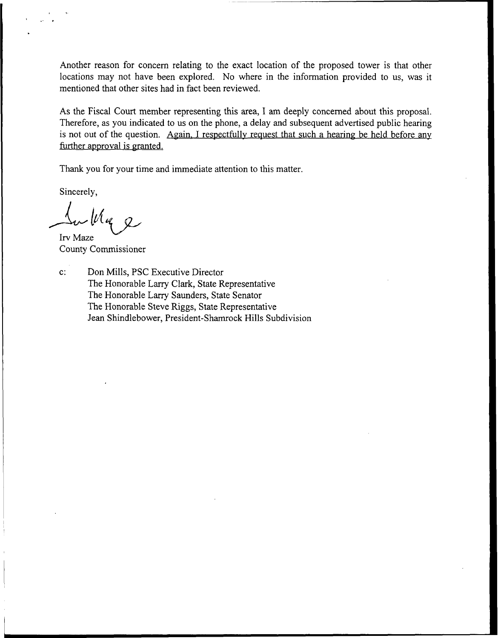Another reason for concern relating to the exact location of the proposed tower is that other locations may not have been explored. No where in the information provided to us, was it mentioned that other sites had in fact been reviewed.

As the Fiscal Court member representing this area, I am deeply concerned about this proposal. Therefore, as you indicated to us on the phone, a delay and subsequent advertised public hearing is not out of the question. Again. I respectfully request that such a hearing be held before any further approval is granted.

Thank you for your time and immediate attention to this matter,

Sincerely,

 $\mu$ luq 2

Irv Maze County Commissioner

c: Don Mills, PSC Executive Director The Honorable Larry Clark, State Representative The Honorable Larry Saunders, State Senator The Honorable Steve Riggs, State Representative Jean Shindlebower, President-Shamrock Hills Subdivision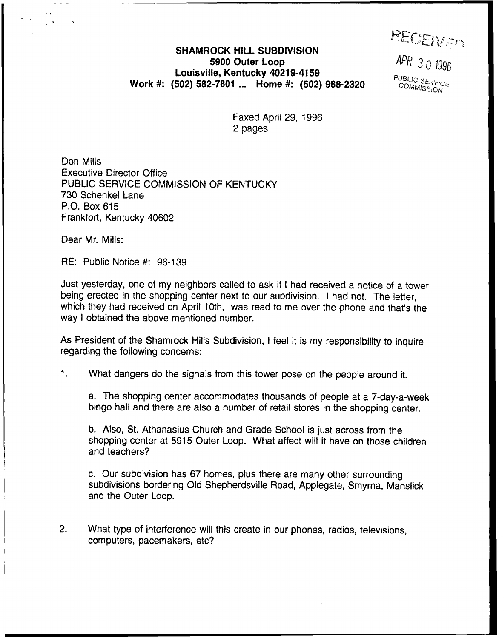REGEIVER

 $APR$  3 0 1996 **PUBLIC SERVICE** COMMISSION

## SHAMROCK HILL SUBDIVISION 5900 Outer Loop Louisville, Kentucky 40219-4159 Work #: (502) 582-7801 ... Home #: (502) 968-2320

Faxed April 29, 1996 2 pages

Don Mills Executive Director Office PUBLIC SERVICE COMMISSION OF KENTUCKY 730 Schenkel Lane P.O. Box 615 Frankfort, Kentucky 40602

Dear Mr. Mills:

 $RE:$  Public Notice  $#: 96-139$ 

Just yesterday, one of my neighbors called to ask if <sup>I</sup> had received a notice of a tower being erected in the shopping center next to our subdivision. <sup>I</sup> had not. The letter, which they had received on April 10th, was read to me over the phone and that's the way <sup>I</sup> obtained the above mentioned number.

As President of the Shamrock Hills Subdivision, <sup>I</sup> feel it is my responsibility to inquire regarding the following concerns:

 $1<sub>1</sub>$ What dangers do the signals from this tower pose on the people around it.

a. The shopping center accommodates thousands of people at a 7-day-a-week bingo hall and there are also a number of retail stores in the shopping center.

b. Also, St. Athanasius Church and Grade School is just across from the shopping center at 5915 Outer Loop. What affect will it have on those children and teachers?

c. Our subdivision has 67 homes, plus there are many other surrounding subdivisions bordering Old Shepherdsville Road, Applegate, Smyrna, Manslick and the Outer Loop.

2. What type of interference will this create in our phones, radios, televisions, computers, pacemakers, etc?